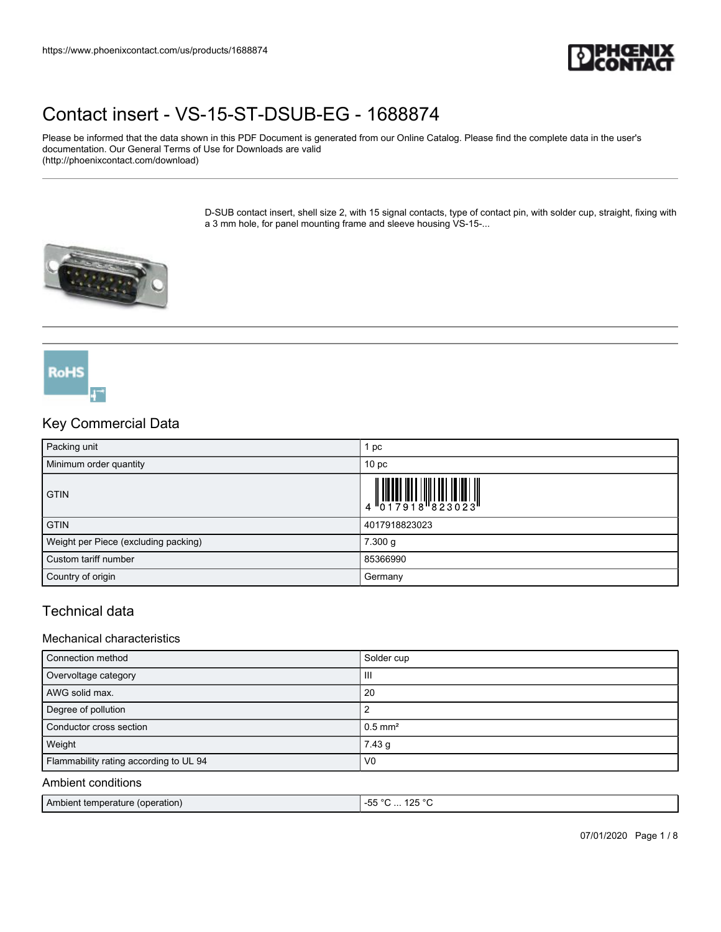

Please be informed that the data shown in this PDF Document is generated from our Online Catalog. Please find the complete data in the user's documentation. Our General Terms of Use for Downloads are valid (http://phoenixcontact.com/download)

> D-SUB contact insert, shell size 2, with 15 signal contacts, type of contact pin, with solder cup, straight, fixing with a 3 mm hole, for panel mounting frame and sleeve housing VS-15-...



## Key Commercial Data

**RoHS** 

| Packing unit                         | pc                                                                                                                                                                                                                                                                                                                             |
|--------------------------------------|--------------------------------------------------------------------------------------------------------------------------------------------------------------------------------------------------------------------------------------------------------------------------------------------------------------------------------|
| Minimum order quantity               | 10 <sub>p</sub>                                                                                                                                                                                                                                                                                                                |
| <b>GTIN</b>                          | $\begin{array}{c} 1 & 0 & 0 & 0 \\ 0 & 1 & 0 & 1 \\ 0 & 1 & 0 & 1 \\ 0 & 0 & 1 & 0 \\ 0 & 0 & 0 & 0 \\ 0 & 0 & 0 & 0 \\ 0 & 0 & 0 & 0 \\ 0 & 0 & 0 & 0 \\ 0 & 0 & 0 & 0 \\ 0 & 0 & 0 & 0 \\ 0 & 0 & 0 & 0 \\ 0 & 0 & 0 & 0 \\ 0 & 0 & 0 & 0 & 0 \\ 0 & 0 & 0 & 0 & 0 \\ 0 & 0 & 0 & 0 & 0 \\ 0 & 0 & 0 & 0 & 0 \\ 0 & 0 & 0 &$ |
| <b>GTIN</b>                          | 4017918823023                                                                                                                                                                                                                                                                                                                  |
| Weight per Piece (excluding packing) | 7.300 g                                                                                                                                                                                                                                                                                                                        |
| Custom tariff number                 | 85366990                                                                                                                                                                                                                                                                                                                       |
| Country of origin                    | Germany                                                                                                                                                                                                                                                                                                                        |

### Technical data

#### Mechanical characteristics

| Connection method                      | Solder cup            |
|----------------------------------------|-----------------------|
| Overvoltage category                   | Ш                     |
| AWG solid max.                         | 20                    |
| Degree of pollution                    |                       |
| Conductor cross section                | $0.5$ mm <sup>2</sup> |
| Weight                                 | 7.43 g                |
| Flammability rating according to UL 94 | V <sub>0</sub>        |

### Ambient conditions

|--|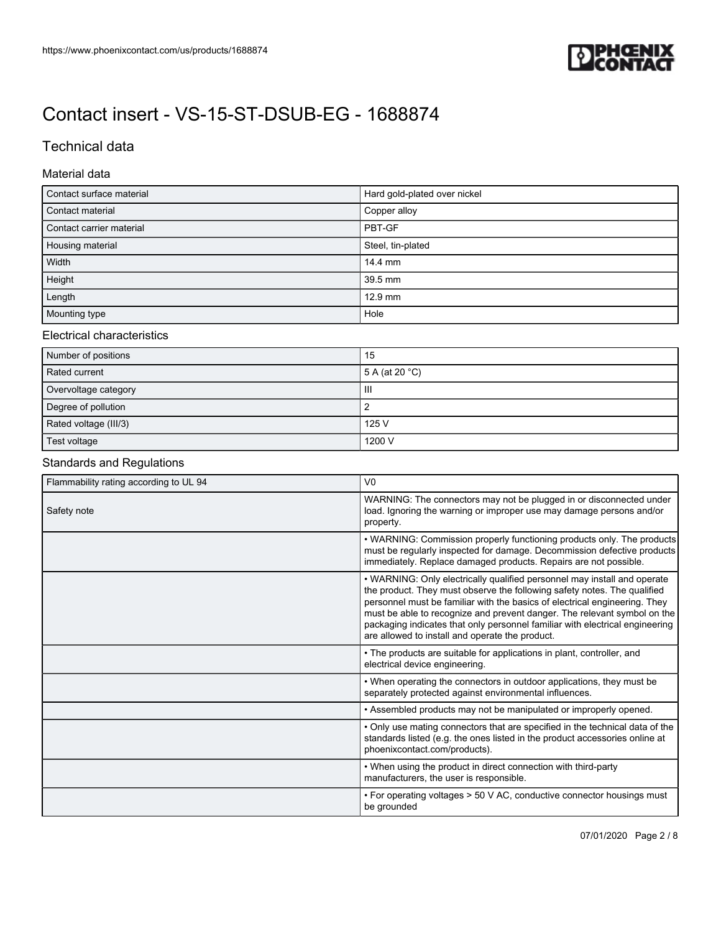

## Technical data

#### Material data

| Contact surface material | Hard gold-plated over nickel |
|--------------------------|------------------------------|
| Contact material         | Copper alloy                 |
| Contact carrier material | PBT-GF                       |
| Housing material         | Steel, tin-plated            |
| Width                    | 14.4 mm                      |
| Height                   | 39.5 mm                      |
| Length                   | 12.9 mm                      |
| Mounting type            | Hole                         |

#### Electrical characteristics

| Number of positions   | 15                       |
|-----------------------|--------------------------|
| Rated current         | 5 A (at 20 $^{\circ}$ C) |
| Overvoltage category  | Ш                        |
| Degree of pollution   |                          |
| Rated voltage (III/3) | 125 V                    |
| Test voltage          | 1200 V                   |

## Standards and Regulations

| Flammability rating according to UL 94 | V <sub>0</sub>                                                                                                                                                                                                                                                                                                                                                                                                                                    |
|----------------------------------------|---------------------------------------------------------------------------------------------------------------------------------------------------------------------------------------------------------------------------------------------------------------------------------------------------------------------------------------------------------------------------------------------------------------------------------------------------|
| Safety note                            | WARNING: The connectors may not be plugged in or disconnected under<br>load. Ignoring the warning or improper use may damage persons and/or<br>property.                                                                                                                                                                                                                                                                                          |
|                                        | • WARNING: Commission properly functioning products only. The products<br>must be regularly inspected for damage. Decommission defective products<br>immediately. Replace damaged products. Repairs are not possible.                                                                                                                                                                                                                             |
|                                        | • WARNING: Only electrically qualified personnel may install and operate<br>the product. They must observe the following safety notes. The qualified<br>personnel must be familiar with the basics of electrical engineering. They<br>must be able to recognize and prevent danger. The relevant symbol on the<br>packaging indicates that only personnel familiar with electrical engineering<br>are allowed to install and operate the product. |
|                                        | • The products are suitable for applications in plant, controller, and<br>electrical device engineering.                                                                                                                                                                                                                                                                                                                                          |
|                                        | • When operating the connectors in outdoor applications, they must be<br>separately protected against environmental influences.                                                                                                                                                                                                                                                                                                                   |
|                                        | • Assembled products may not be manipulated or improperly opened.                                                                                                                                                                                                                                                                                                                                                                                 |
|                                        | • Only use mating connectors that are specified in the technical data of the<br>standards listed (e.g. the ones listed in the product accessories online at<br>phoenixcontact.com/products).                                                                                                                                                                                                                                                      |
|                                        | • When using the product in direct connection with third-party<br>manufacturers, the user is responsible.                                                                                                                                                                                                                                                                                                                                         |
|                                        | • For operating voltages > 50 V AC, conductive connector housings must<br>be grounded                                                                                                                                                                                                                                                                                                                                                             |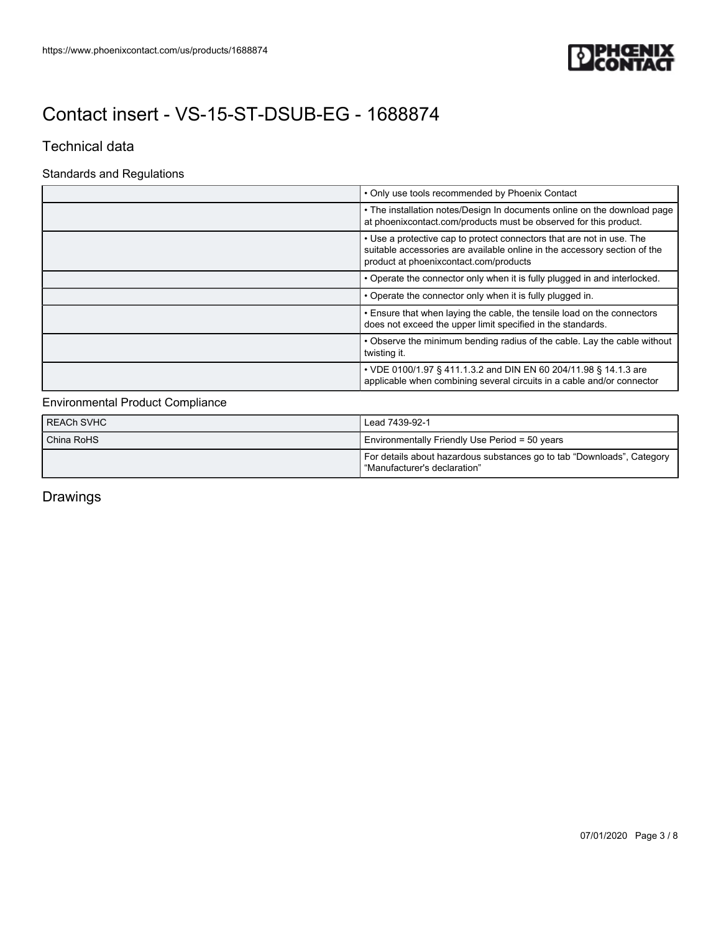

### Technical data

## Standards and Regulations

| • Only use tools recommended by Phoenix Contact                                                                                                                                              |
|----------------------------------------------------------------------------------------------------------------------------------------------------------------------------------------------|
| • The installation notes/Design In documents online on the download page<br>at phoenixcontact.com/products must be observed for this product.                                                |
| • Use a protective cap to protect connectors that are not in use. The<br>suitable accessories are available online in the accessory section of the<br>product at phoenixcontact.com/products |
| • Operate the connector only when it is fully plugged in and interlocked.                                                                                                                    |
| • Operate the connector only when it is fully plugged in.                                                                                                                                    |
| • Ensure that when laying the cable, the tensile load on the connectors<br>does not exceed the upper limit specified in the standards.                                                       |
| • Observe the minimum bending radius of the cable. Lay the cable without<br>twisting it.                                                                                                     |
| • VDE 0100/1.97 § 411.1.3.2 and DIN EN 60 204/11.98 § 14.1.3 are<br>applicable when combining several circuits in a cable and/or connector                                                   |

### Environmental Product Compliance

| REACh SVHC | Lead 7439-92-1                                                                                         |
|------------|--------------------------------------------------------------------------------------------------------|
| China RoHS | Environmentally Friendly Use Period = 50 years                                                         |
|            | For details about hazardous substances go to tab "Downloads", Category<br>"Manufacturer's declaration" |

Drawings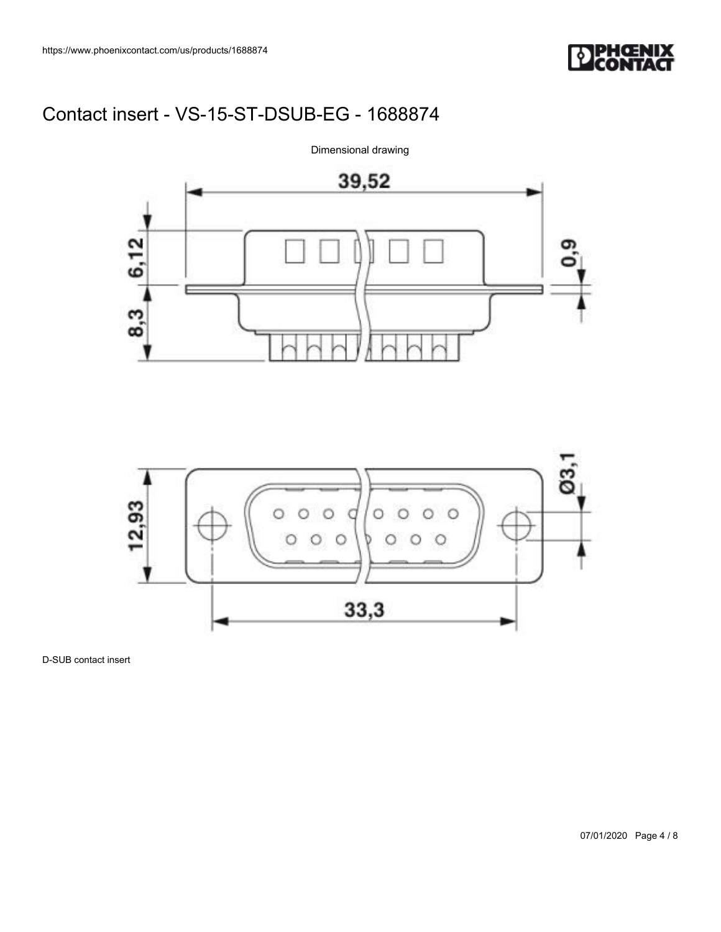





D-SUB contact insert

07/01/2020 Page 4 / 8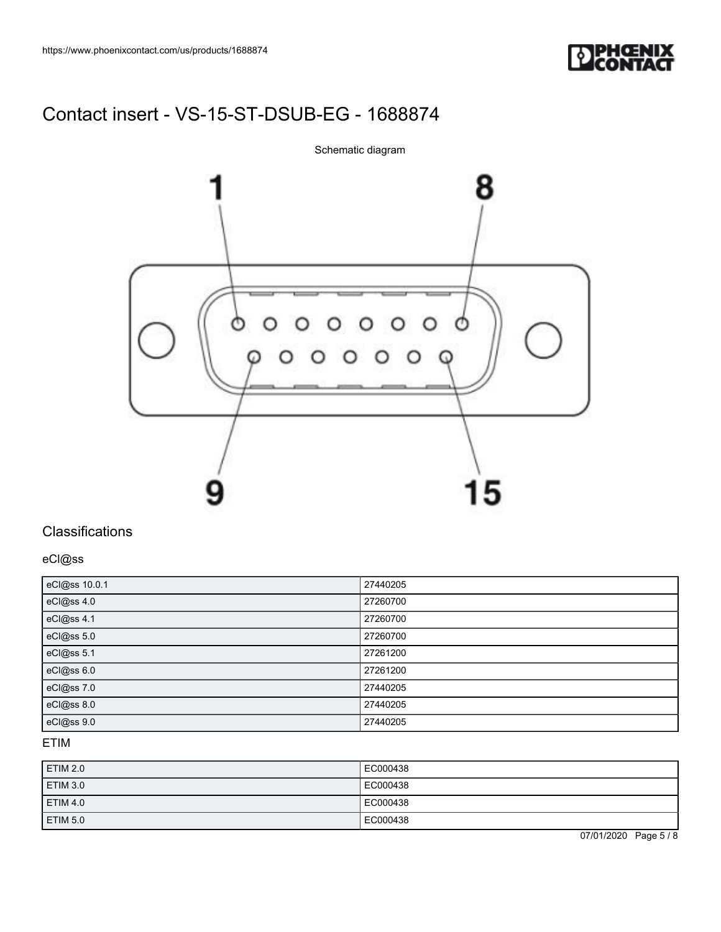

8  $000$  $O$   $O$ Ò  $\circ$  $\circ$  $0000000$ 15

Schematic diagram

## **Classifications**

eCl@ss

| eCl@ss 10.0.1 | 27440205 |
|---------------|----------|
| eCl@ss 4.0    | 27260700 |
| eCl@ss 4.1    | 27260700 |
| eCl@ss 5.0    | 27260700 |
| eCl@ss 5.1    | 27261200 |
| eCl@ss 6.0    | 27261200 |
| eCl@ss 7.0    | 27440205 |
| eCl@ss 8.0    | 27440205 |
| eCl@ss 9.0    | 27440205 |

### ETIM

| <b>ETIM 2.0</b> | EC000438 |
|-----------------|----------|
| ETIM 3.0        | EC000438 |
| ETIM 4.0        | EC000438 |
| ETIM 5.0        | EC000438 |

07/01/2020 Page 5 / 8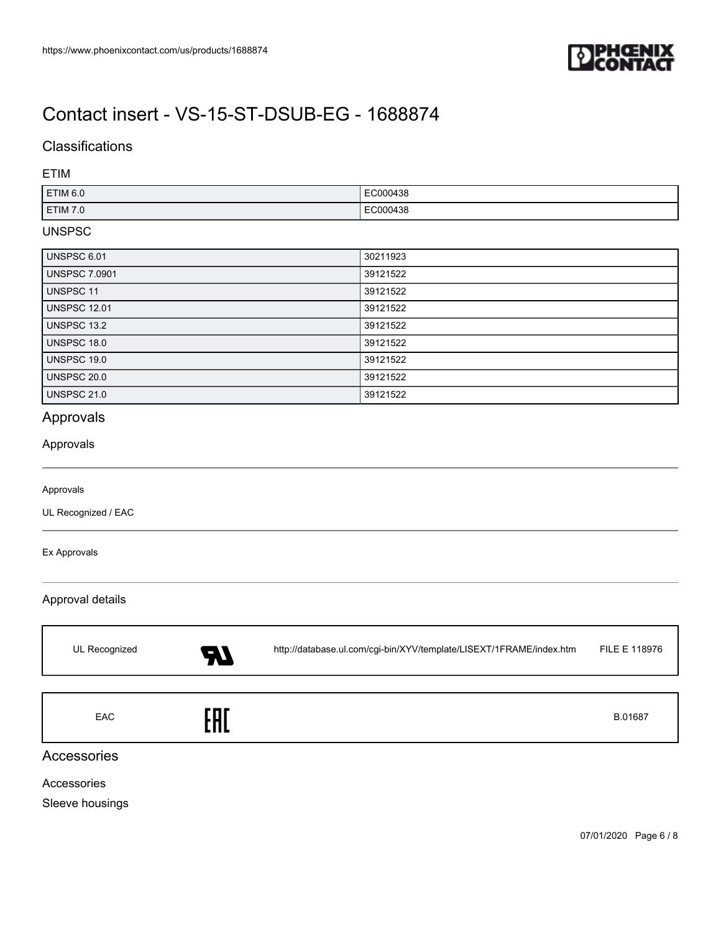

## **Classifications**

#### ETIM

| ETIM <sub>6.0</sub> | EC000438      |
|---------------------|---------------|
| <b>ETIM 7.0</b>     | EC000438<br>. |

#### UNSPSC

| UNSPSC 6.01          | 30211923 |
|----------------------|----------|
| <b>UNSPSC 7.0901</b> | 39121522 |
| <b>UNSPSC 11</b>     | 39121522 |
| <b>UNSPSC 12.01</b>  | 39121522 |
| UNSPSC 13.2          | 39121522 |
| UNSPSC 18.0          | 39121522 |
| UNSPSC 19.0          | 39121522 |
| <b>UNSPSC 20.0</b>   | 39121522 |
| <b>UNSPSC 21.0</b>   | 39121522 |

## Approvals

#### Approvals

#### Approvals

UL Recognized / EAC

#### Ex Approvals

#### Approval details

| UL Recognized | 57  | http://database.ul.com/cgi-bin/XYV/template/LISEXT/1FRAME/index.htm | FILE E 118976 |
|---------------|-----|---------------------------------------------------------------------|---------------|
| <b>EAC</b>    | EAI |                                                                     | B.01687       |

### Accessories

Accessories

Sleeve housings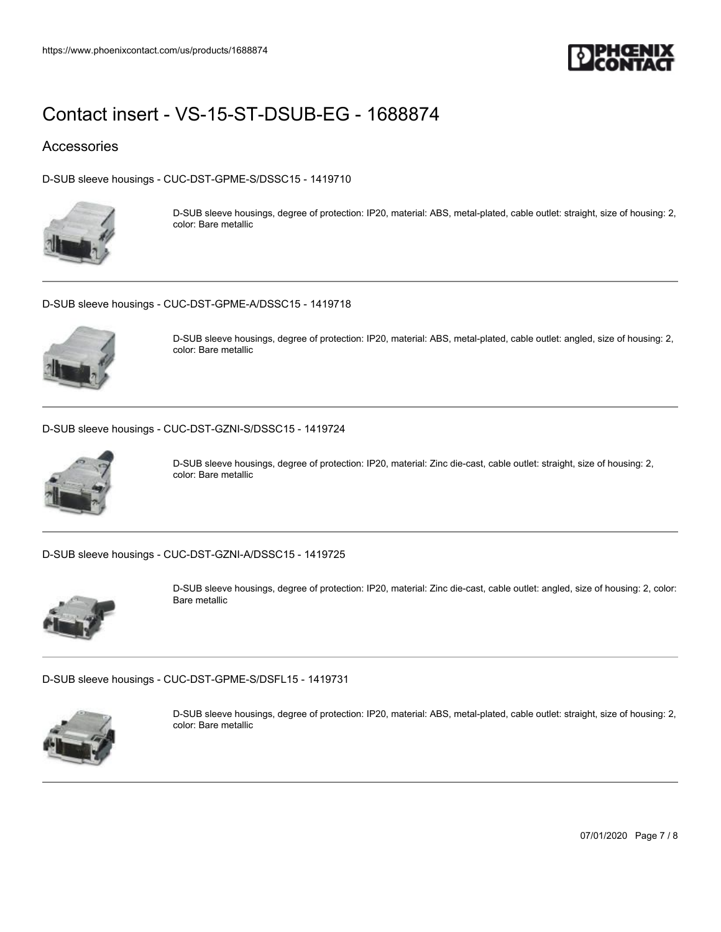

### Accessories

[D-SUB sleeve housings - CUC-DST-GPME-S/DSSC15 - 1419710](https://www.phoenixcontact.com/us/products/1419710)



D-SUB sleeve housings, degree of protection: IP20, material: ABS, metal-plated, cable outlet: straight, size of housing: 2, color: Bare metallic

[D-SUB sleeve housings - CUC-DST-GPME-A/DSSC15 - 1419718](https://www.phoenixcontact.com/us/products/1419718)



D-SUB sleeve housings, degree of protection: IP20, material: ABS, metal-plated, cable outlet: angled, size of housing: 2, color: Bare metallic

[D-SUB sleeve housings - CUC-DST-GZNI-S/DSSC15 - 1419724](https://www.phoenixcontact.com/us/products/1419724)



D-SUB sleeve housings, degree of protection: IP20, material: Zinc die-cast, cable outlet: straight, size of housing: 2, color: Bare metallic

[D-SUB sleeve housings - CUC-DST-GZNI-A/DSSC15 - 1419725](https://www.phoenixcontact.com/us/products/1419725)



D-SUB sleeve housings, degree of protection: IP20, material: Zinc die-cast, cable outlet: angled, size of housing: 2, color: Bare metallic

[D-SUB sleeve housings - CUC-DST-GPME-S/DSFL15 - 1419731](https://www.phoenixcontact.com/us/products/1419731)



D-SUB sleeve housings, degree of protection: IP20, material: ABS, metal-plated, cable outlet: straight, size of housing: 2, color: Bare metallic